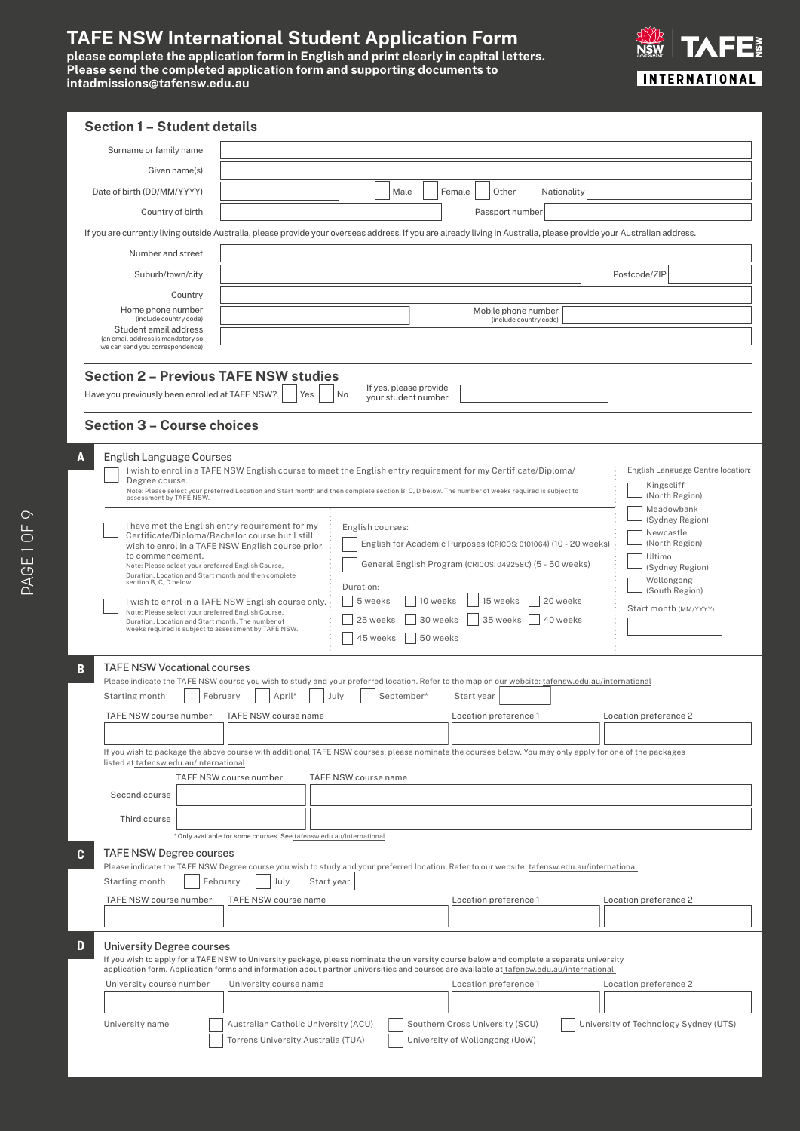# **TAFE NSW International Student Application Form**

please complete the application form r tease send the completed appli<br>intadmissions@tafensw.edu.au **please complete the application form in English and print clearly in capital letters. Please send the completed application form and supporting documents to intadmissions@tafensw.edu.au**



| <b>Section 1 - Student details</b>                                                                                                                              |                                                                                                                                                                                                                                                                                       |
|-----------------------------------------------------------------------------------------------------------------------------------------------------------------|---------------------------------------------------------------------------------------------------------------------------------------------------------------------------------------------------------------------------------------------------------------------------------------|
| Surname or family name                                                                                                                                          |                                                                                                                                                                                                                                                                                       |
| Given name(s)                                                                                                                                                   |                                                                                                                                                                                                                                                                                       |
| Date of birth (DD/MM/YYYY)                                                                                                                                      | Male<br>Female<br>Other<br>Nationality                                                                                                                                                                                                                                                |
| Country of birth                                                                                                                                                | Passport number                                                                                                                                                                                                                                                                       |
|                                                                                                                                                                 | If you are currently living outside Australia, please provide your overseas address. If you are already living in Australia, please provide your Australian address.                                                                                                                  |
| Number and street                                                                                                                                               |                                                                                                                                                                                                                                                                                       |
| Suburb/town/city                                                                                                                                                | Postcode/ZIP                                                                                                                                                                                                                                                                          |
| Country                                                                                                                                                         |                                                                                                                                                                                                                                                                                       |
| Home phone number<br>(include country code)                                                                                                                     | Mobile phone number<br>(include country code)                                                                                                                                                                                                                                         |
| Student email address<br>(an email address is mandatory so                                                                                                      |                                                                                                                                                                                                                                                                                       |
| we can send you correspondence)                                                                                                                                 |                                                                                                                                                                                                                                                                                       |
| <b>Section 2 - Previous TAFE NSW studies</b><br>Have you previously been enrolled at TAFE NSW?                                                                  | If yes, please provide<br>No<br>Yes<br>your student number                                                                                                                                                                                                                            |
|                                                                                                                                                                 |                                                                                                                                                                                                                                                                                       |
| <b>Section 3 - Course choices</b>                                                                                                                               |                                                                                                                                                                                                                                                                                       |
| English Language Courses<br>A                                                                                                                                   |                                                                                                                                                                                                                                                                                       |
| Degree course.                                                                                                                                                  | English Language Centre location:<br>I wish to enrol in a TAFE NSW English course to meet the English entry requirement for my Certificate/Diploma/                                                                                                                                   |
| assessment by TAFE NSW.                                                                                                                                         | Kingscliff<br>Note: Please select your preferred Location and Start month and then complete section B, C, D below. The number of weeks required is subject to<br>(North Region)                                                                                                       |
|                                                                                                                                                                 | Meadowbank<br>(Sydney Region)<br>I have met the English entry requirement for my<br>English courses:                                                                                                                                                                                  |
|                                                                                                                                                                 | Newcastle<br>Certificate/Diploma/Bachelor course but I still<br>English for Academic Purposes (CRICOS: 0101064) (10 - 20 weeks)<br>(North Region)<br>wish to enrol in a TAFE NSW English course prior                                                                                 |
| to commencement.<br>Note: Please select your preferred English Course,                                                                                          | Ultimo<br>General English Program (CRICOS: 049258C) (5 - 50 weeks)<br>(Sydney Region)                                                                                                                                                                                                 |
| Duration, Location and Start month and then complete<br>section B, C, D below.                                                                                  | Wollongong<br>Duration:                                                                                                                                                                                                                                                               |
|                                                                                                                                                                 | (South Region)<br>5 weeks<br>10 weeks<br>15 weeks<br>20 weeks<br>I wish to enrol in a TAFE NSW English course only.<br>Start month (MM/YYYY)                                                                                                                                          |
| Note: Please select your preferred English Course,<br>Duration, Location and Start month. The number of<br>weeks required is subject to assessment by TAFE NSW. | 25 weeks<br>30 weeks<br>35 weeks<br>40 weeks                                                                                                                                                                                                                                          |
|                                                                                                                                                                 | 45 weeks<br>50 weeks                                                                                                                                                                                                                                                                  |
| TAFE NSW Vocational courses<br>B                                                                                                                                |                                                                                                                                                                                                                                                                                       |
| Starting month                                                                                                                                                  | Please indicate the TAFE NSW course you wish to study and your preferred location. Refer to the map on our website: tafensw.edu.au/international<br>February<br>April*<br>July<br>September*<br>Start year                                                                            |
| TAFE NSW course number                                                                                                                                          | TAFE NSW course name<br>Location preference 1<br>Location preference 2                                                                                                                                                                                                                |
|                                                                                                                                                                 |                                                                                                                                                                                                                                                                                       |
|                                                                                                                                                                 | If you wish to package the above course with additional TAFE NSW courses, please nominate the courses below. You may only apply for one of the packages                                                                                                                               |
| listed at tafensw.edu.au/international                                                                                                                          | TAFE NSW course number<br>TAFE NSW course name                                                                                                                                                                                                                                        |
| Second course                                                                                                                                                   |                                                                                                                                                                                                                                                                                       |
| Third course                                                                                                                                                    |                                                                                                                                                                                                                                                                                       |
|                                                                                                                                                                 | * Only available for some courses. See tafensw.edu.au/international                                                                                                                                                                                                                   |
| <b>TAFE NSW Degree courses</b><br>C                                                                                                                             |                                                                                                                                                                                                                                                                                       |
| Starting month                                                                                                                                                  | Please indicate the TAFE NSW Degree course you wish to study and your preferred location. Refer to our website: tafensw.edu.au/international<br>February<br>July<br>Start year                                                                                                        |
| TAFE NSW course number                                                                                                                                          | TAFE NSW course name<br>Location preference 2<br>Location preference 1                                                                                                                                                                                                                |
|                                                                                                                                                                 |                                                                                                                                                                                                                                                                                       |
| D<br>University Degree courses                                                                                                                                  |                                                                                                                                                                                                                                                                                       |
|                                                                                                                                                                 | If you wish to apply for a TAFE NSW to University package, please nominate the university course below and complete a separate university<br>application form. Application forms and information about partner universities and courses are available at tafensw.edu.au/international |
| University course number                                                                                                                                        | Location preference 1<br>University course name<br>Location preference 2                                                                                                                                                                                                              |
|                                                                                                                                                                 |                                                                                                                                                                                                                                                                                       |
| University name                                                                                                                                                 | Australian Catholic University (ACU)<br>Southern Cross University (SCU)<br>University of Technology Sydney (UTS)                                                                                                                                                                      |
|                                                                                                                                                                 | Torrens University Australia (TUA)<br>University of Wollongong (UoW)                                                                                                                                                                                                                  |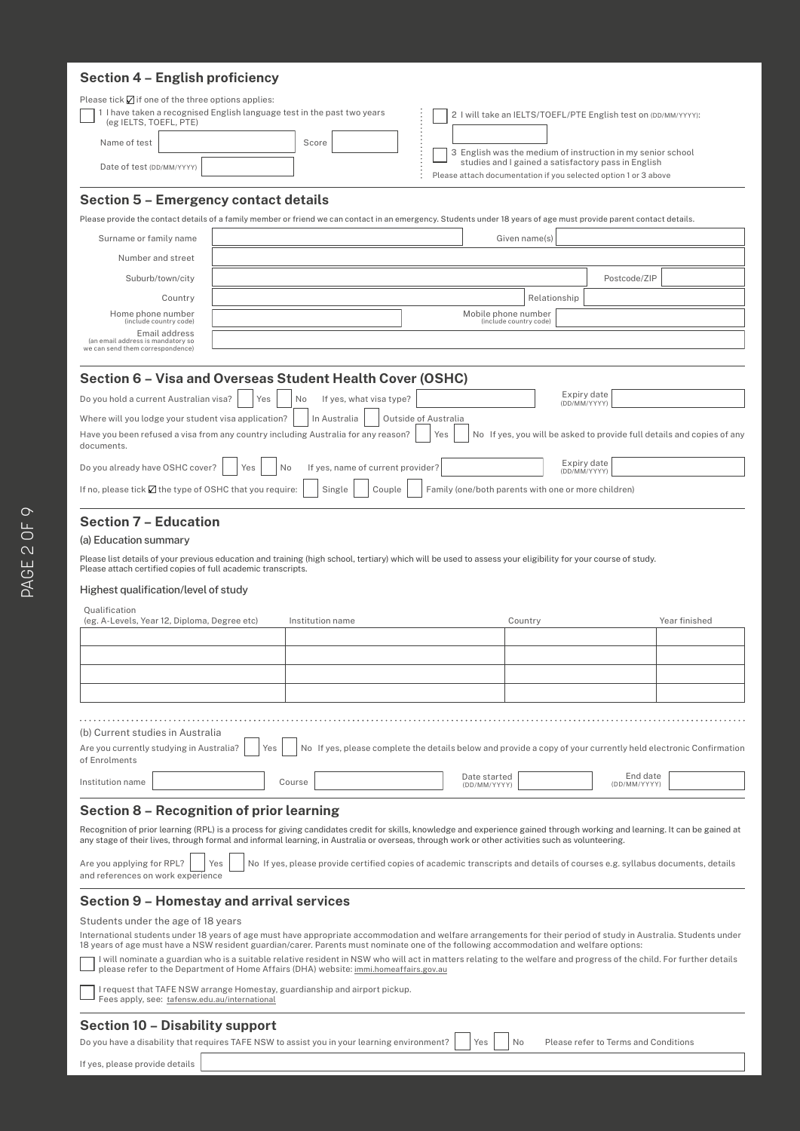# **TAFE NSW International Terms and Conditions Section 4 – English proficiency**

| Please tick $\Box$ if one of the three options applies:<br>(eg IELTS, TOEFL, PTE)                                                                                                                                                                                                                                                                                                                                                                                                                                                                                                                                 | 1 I have taken a recognised English language test in the past two years                                                                                                                                                                                                                                                         |                                                                                                                |                                                     | 2 I will take an IELTS/TOEFL/PTE English test on (DD/MM/YYYY):                                                         |               |
|-------------------------------------------------------------------------------------------------------------------------------------------------------------------------------------------------------------------------------------------------------------------------------------------------------------------------------------------------------------------------------------------------------------------------------------------------------------------------------------------------------------------------------------------------------------------------------------------------------------------|---------------------------------------------------------------------------------------------------------------------------------------------------------------------------------------------------------------------------------------------------------------------------------------------------------------------------------|----------------------------------------------------------------------------------------------------------------|-----------------------------------------------------|------------------------------------------------------------------------------------------------------------------------|---------------|
| Name of test                                                                                                                                                                                                                                                                                                                                                                                                                                                                                                                                                                                                      | Score                                                                                                                                                                                                                                                                                                                           |                                                                                                                |                                                     | 3 English was the medium of instruction in my senior school                                                            |               |
| Date of test (DD/MM/YYYY)                                                                                                                                                                                                                                                                                                                                                                                                                                                                                                                                                                                         |                                                                                                                                                                                                                                                                                                                                 |                                                                                                                |                                                     | studies and I gained a satisfactory pass in English<br>Please attach documentation if you selected option 1 or 3 above |               |
| <b>Section 5 - Emergency contact details</b>                                                                                                                                                                                                                                                                                                                                                                                                                                                                                                                                                                      |                                                                                                                                                                                                                                                                                                                                 |                                                                                                                |                                                     |                                                                                                                        |               |
|                                                                                                                                                                                                                                                                                                                                                                                                                                                                                                                                                                                                                   | Please provide the contact details of a family member or friend we can contact in an emergency. Students under 18 years of age must provide parent contact details.                                                                                                                                                             |                                                                                                                |                                                     |                                                                                                                        |               |
| Surname or family name                                                                                                                                                                                                                                                                                                                                                                                                                                                                                                                                                                                            |                                                                                                                                                                                                                                                                                                                                 |                                                                                                                | Given name(s)                                       |                                                                                                                        |               |
| Number and street                                                                                                                                                                                                                                                                                                                                                                                                                                                                                                                                                                                                 |                                                                                                                                                                                                                                                                                                                                 |                                                                                                                |                                                     |                                                                                                                        |               |
| Suburb/town/city                                                                                                                                                                                                                                                                                                                                                                                                                                                                                                                                                                                                  | Postcode/ZIP                                                                                                                                                                                                                                                                                                                    |                                                                                                                |                                                     |                                                                                                                        |               |
| Country                                                                                                                                                                                                                                                                                                                                                                                                                                                                                                                                                                                                           | Relationship                                                                                                                                                                                                                                                                                                                    |                                                                                                                |                                                     |                                                                                                                        |               |
| Home phone number<br>(include country code)                                                                                                                                                                                                                                                                                                                                                                                                                                                                                                                                                                       |                                                                                                                                                                                                                                                                                                                                 |                                                                                                                | Mobile phone number<br>(include country code)       |                                                                                                                        |               |
| Email address<br>(an email address is mandatory so<br>we can send them correspondence)                                                                                                                                                                                                                                                                                                                                                                                                                                                                                                                            |                                                                                                                                                                                                                                                                                                                                 |                                                                                                                |                                                     |                                                                                                                        |               |
|                                                                                                                                                                                                                                                                                                                                                                                                                                                                                                                                                                                                                   | Section 6 - Visa and Overseas Student Health Cover (OSHC)                                                                                                                                                                                                                                                                       |                                                                                                                |                                                     |                                                                                                                        |               |
| Do you hold a current Australian visa?                                                                                                                                                                                                                                                                                                                                                                                                                                                                                                                                                                            | Yes<br>No<br>If yes, what visa type?                                                                                                                                                                                                                                                                                            |                                                                                                                |                                                     | Expiry date                                                                                                            |               |
| Where will you lodge your student visa application?                                                                                                                                                                                                                                                                                                                                                                                                                                                                                                                                                               | In Australia                                                                                                                                                                                                                                                                                                                    | Outside of Australia                                                                                           |                                                     | (DD/MM/YYYY)                                                                                                           |               |
| documents.                                                                                                                                                                                                                                                                                                                                                                                                                                                                                                                                                                                                        | Have you been refused a visa from any country including Australia for any reason?                                                                                                                                                                                                                                               | Yes                                                                                                            |                                                     | No If yes, you will be asked to provide full details and copies of any                                                 |               |
| Do you already have OSHC cover?                                                                                                                                                                                                                                                                                                                                                                                                                                                                                                                                                                                   | If yes, name of current provider?<br>Yes<br>No                                                                                                                                                                                                                                                                                  |                                                                                                                |                                                     | Expiry date<br>(DD/MM/YYYY)                                                                                            |               |
| If no, please tick $\boxtimes$ the type of OSHC that you require:                                                                                                                                                                                                                                                                                                                                                                                                                                                                                                                                                 | Single<br>Couple                                                                                                                                                                                                                                                                                                                |                                                                                                                | Family (one/both parents with one or more children) |                                                                                                                        |               |
| <b>Section 7 - Education</b><br>(a) Education summary<br>Please attach certified copies of full academic transcripts.<br>Highest qualification/level of study                                                                                                                                                                                                                                                                                                                                                                                                                                                     | Please list details of your previous education and training (high school, tertiary) which will be used to assess your eligibility for your course of study.                                                                                                                                                                     |                                                                                                                |                                                     |                                                                                                                        |               |
| Qualification                                                                                                                                                                                                                                                                                                                                                                                                                                                                                                                                                                                                     |                                                                                                                                                                                                                                                                                                                                 |                                                                                                                |                                                     |                                                                                                                        |               |
| (eg. A-Levels, Year 12, Diploma, Degree etc)                                                                                                                                                                                                                                                                                                                                                                                                                                                                                                                                                                      | Institution name                                                                                                                                                                                                                                                                                                                |                                                                                                                | Country                                             |                                                                                                                        | Year finished |
|                                                                                                                                                                                                                                                                                                                                                                                                                                                                                                                                                                                                                   |                                                                                                                                                                                                                                                                                                                                 |                                                                                                                |                                                     |                                                                                                                        |               |
|                                                                                                                                                                                                                                                                                                                                                                                                                                                                                                                                                                                                                   |                                                                                                                                                                                                                                                                                                                                 |                                                                                                                |                                                     |                                                                                                                        |               |
|                                                                                                                                                                                                                                                                                                                                                                                                                                                                                                                                                                                                                   |                                                                                                                                                                                                                                                                                                                                 |                                                                                                                |                                                     |                                                                                                                        |               |
|                                                                                                                                                                                                                                                                                                                                                                                                                                                                                                                                                                                                                   |                                                                                                                                                                                                                                                                                                                                 |                                                                                                                |                                                     |                                                                                                                        |               |
| (b) Current studies in Australia<br>Are you currently studying in Australia?<br>of Enrolments                                                                                                                                                                                                                                                                                                                                                                                                                                                                                                                     | Yes                                                                                                                                                                                                                                                                                                                             | No If yes, please complete the details below and provide a copy of your currently held electronic Confirmation |                                                     |                                                                                                                        |               |
| Institution name                                                                                                                                                                                                                                                                                                                                                                                                                                                                                                                                                                                                  | Course                                                                                                                                                                                                                                                                                                                          | Date started<br>(DD/MM/YYYY)                                                                                   |                                                     | End date<br>(DD/MM/YYYY)                                                                                               |               |
| <b>Section 8 - Recognition of prior learning</b>                                                                                                                                                                                                                                                                                                                                                                                                                                                                                                                                                                  |                                                                                                                                                                                                                                                                                                                                 |                                                                                                                |                                                     |                                                                                                                        |               |
|                                                                                                                                                                                                                                                                                                                                                                                                                                                                                                                                                                                                                   | Recognition of prior learning (RPL) is a process for giving candidates credit for skills, knowledge and experience gained through working and learning. It can be gained at<br>any stage of their lives, through formal and informal learning, in Australia or overseas, through work or other activities such as volunteering. |                                                                                                                |                                                     |                                                                                                                        |               |
| Are you applying for RPL?<br>Yes<br>No If yes, please provide certified copies of academic transcripts and details of courses e.g. syllabus documents, details<br>and references on work experience                                                                                                                                                                                                                                                                                                                                                                                                               |                                                                                                                                                                                                                                                                                                                                 |                                                                                                                |                                                     |                                                                                                                        |               |
|                                                                                                                                                                                                                                                                                                                                                                                                                                                                                                                                                                                                                   | <b>Section 9 - Homestay and arrival services</b>                                                                                                                                                                                                                                                                                |                                                                                                                |                                                     |                                                                                                                        |               |
| Students under the age of 18 years<br>International students under 18 years of age must have appropriate accommodation and welfare arrangements for their period of study in Australia. Students under<br>18 years of age must have a NSW resident guardian/carer. Parents must nominate one of the following accommodation and welfare options:<br>I will nominate a guardian who is a suitable relative resident in NSW who will act in matters relating to the welfare and progress of the child. For further details<br>please refer to the Department of Home Affairs (DHA) website: immi.homeaffairs.gov.au |                                                                                                                                                                                                                                                                                                                                 |                                                                                                                |                                                     |                                                                                                                        |               |
| I request that TAFE NSW arrange Homestay, guardianship and airport pickup.<br>Fees apply, see: tafensw.edu.au/international                                                                                                                                                                                                                                                                                                                                                                                                                                                                                       |                                                                                                                                                                                                                                                                                                                                 |                                                                                                                |                                                     |                                                                                                                        |               |
| <b>Section 10 - Disability support</b>                                                                                                                                                                                                                                                                                                                                                                                                                                                                                                                                                                            |                                                                                                                                                                                                                                                                                                                                 |                                                                                                                |                                                     |                                                                                                                        |               |
|                                                                                                                                                                                                                                                                                                                                                                                                                                                                                                                                                                                                                   |                                                                                                                                                                                                                                                                                                                                 |                                                                                                                |                                                     |                                                                                                                        |               |
| If yes, please provide details                                                                                                                                                                                                                                                                                                                                                                                                                                                                                                                                                                                    | Do you have a disability that requires TAFE NSW to assist you in your learning environment?                                                                                                                                                                                                                                     | Yes                                                                                                            | No                                                  | Please refer to Terms and Conditions                                                                                   |               |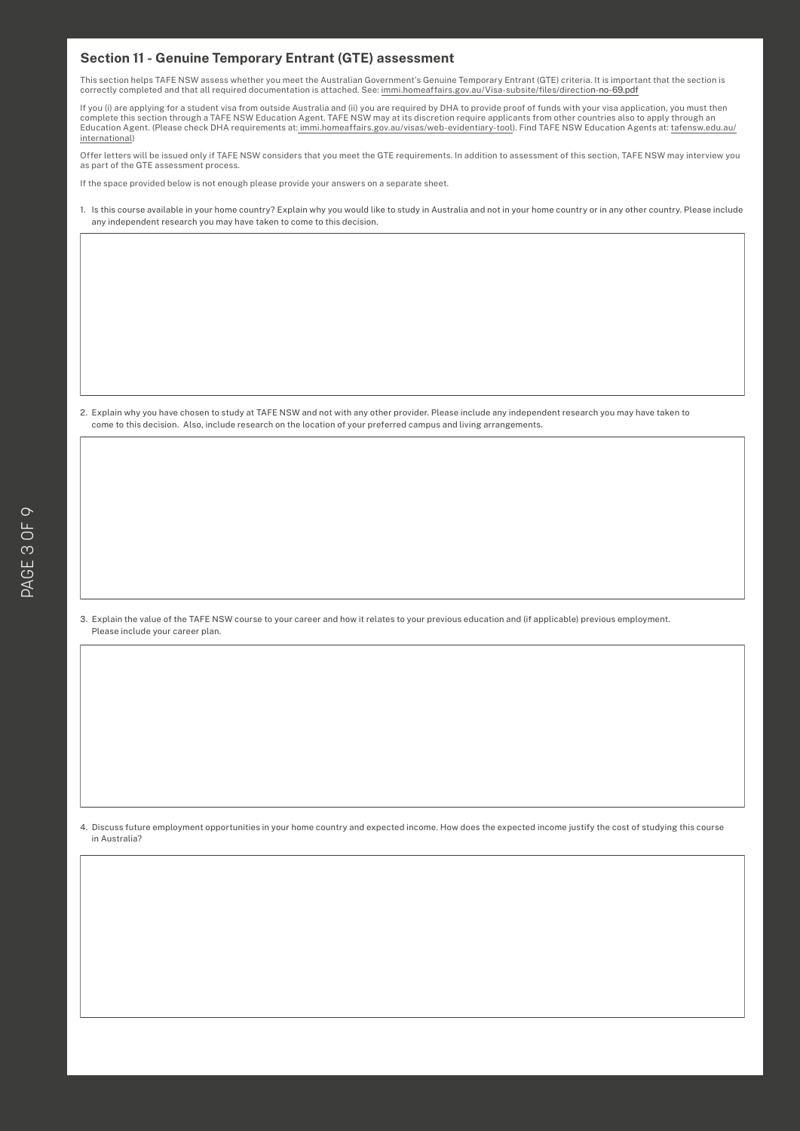# **Section 11 - Genuine Temporary Entrant (GTE) assessment**

This section helps TAFE NSW assess whether you meet the Australian Government's Genuine Temporary Entrant (GTE) criteria. It is important that the section is<br>Consider a mark to the tell security of a current that is other correctly completed and that all required documentation is attached. See: [immi.homeaffairs.gov.au/Visa-subsite/files/direction-no-69.pdf](https://immi.homeaffairs.gov.au/Visa-subsite/files/direction-no-69.pdf)

If you (i) are applying for a student visa from outside Australia and (ii) you are required by DHA to provide proof of funds with your visa application, you must then<br>complete this section through a TAFE NSW Education Agen Education Agent. (Please check DHA requirements at: [immi.homeaffairs.gov.au/visas/web-evidentiary-tool\)](http://immi.homeaffairs.gov.au/visas/web-evidentiary-tool). Find TAFE NSW Education Agents at: [tafensw.edu.au/](http://www.tafensw.edu.au/international) [international](http://www.tafensw.edu.au/international))

Offer letters will be issued only if TAFE NSW considers that you meet the GTE requirements. In addition to assessment of this section, TAFE NSW may interview you as part of the GTE assessment process.

If the space provided below is not enough please provide your answers on a separate sheet.

1. Is this course available in your home country? Explain why you would like to study in Australia and not in your home country or in any other country. Please include any independent research you may have taken to come to this decision.

2. Explain why you have chosen to study at TAFE NSW and not with any other provider. Please include any independent research you may have taken to come to this decision. Also, include research on the location of your preferred campus and living arrangements.

3. Explain the value of the TAFE NSW course to your career and how it relates to your previous education and (if applicable) previous employment. Please include your career plan.

4. Discuss future employment opportunities in your home country and expected income. How does the expected income justify the cost of studying this course in Australia?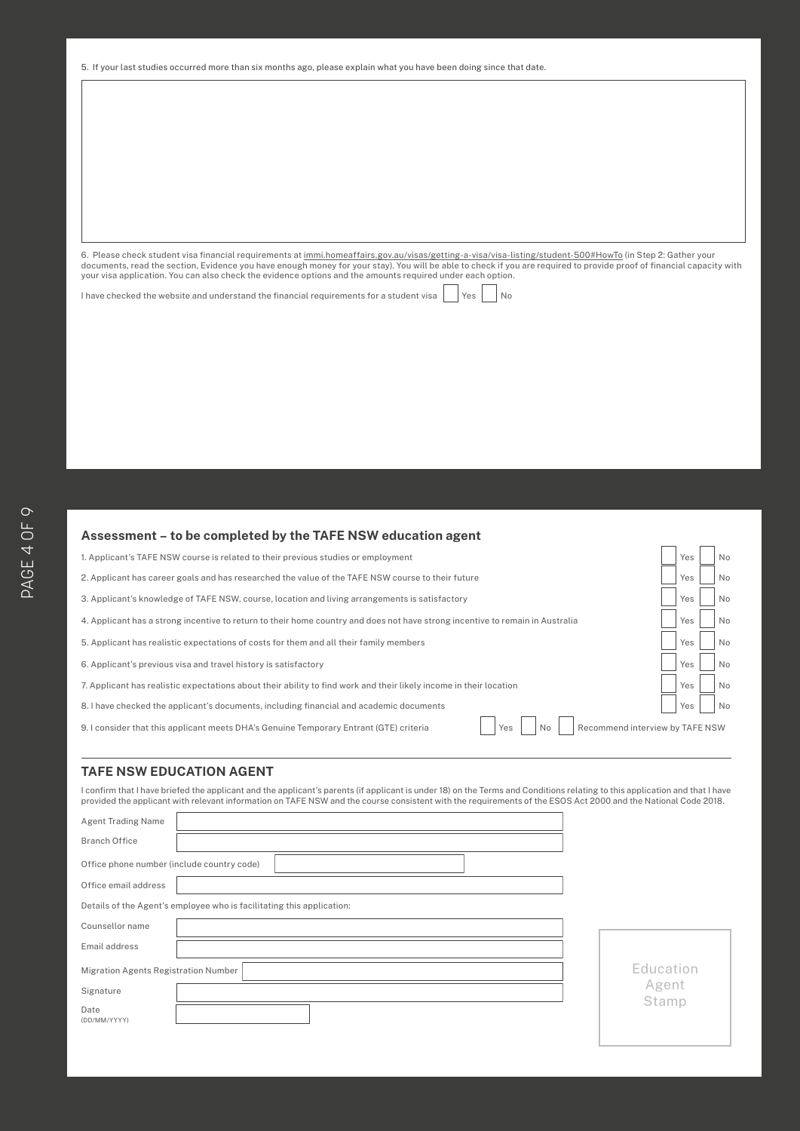# **TAFE NSW International**  5. If your last studies occurred more than six months ago, please explain what you have been doing since that date. **Terms and Conditions**

6. Please check student visa financial requirements at <u>immi.homeaffairs.gov.au/visas/getting-a-visa/visa-listing/student-500#HowTo</u> (in Step 2: Gather your<br>documents, read the section, Evidence you have enough money for y

I have checked the website and understand the financial requirements for a student visa  $\begin{vmatrix} \n\end{vmatrix}$  Yes  $\begin{vmatrix} \n\end{vmatrix}$  No

# **Assessment – to be completed by the TAFE NSW education agent**

| 1. Applicant's TAFE NSW course is related to their previous studies or employment                                                      |  |     | No |  |
|----------------------------------------------------------------------------------------------------------------------------------------|--|-----|----|--|
| 2. Applicant has career goals and has researched the value of the TAFE NSW course to their future                                      |  |     |    |  |
| 3. Applicant's knowledge of TAFE NSW, course, location and living arrangements is satisfactory                                         |  |     |    |  |
| 4. Applicant has a strong incentive to return to their home country and does not have strong incentive to remain in Australia          |  |     | No |  |
| 5. Applicant has realistic expectations of costs for them and all their family members                                                 |  | Yes | No |  |
| 6. Applicant's previous visa and travel history is satisfactory                                                                        |  | Yes | No |  |
| 7. Applicant has realistic expectations about their ability to find work and their likely income in their location                     |  | Yes | No |  |
| 8. I have checked the applicant's documents, including financial and academic documents                                                |  | Yes | No |  |
| Recommend interview by TAFE NSW<br>Yes<br>9. I consider that this applicant meets DHA's Genuine Temporary Entrant (GTE) criteria<br>No |  |     |    |  |

 $\Box$  $\overline{\phantom{0}}$   $\Box$ 

# **TAFE NSW EDUCATION AGENT**

r

I confirm that I have briefed the applicant and the applicant's parents (if applicant is under 18) on the Terms and Conditions relating to this application and that I have<br>provided the applicant with relevant information o

| <b>Agent Trading Name</b>                                             |                |
|-----------------------------------------------------------------------|----------------|
| <b>Branch Office</b>                                                  |                |
| Office phone number (include country code)                            |                |
| Office email address                                                  |                |
| Details of the Agent's employee who is facilitating this application: |                |
| Counsellor name                                                       |                |
| Email address                                                         |                |
| Migration Agents Registration Number                                  | Education      |
| Signature                                                             | Agent<br>Stamp |
| Date<br>(DD/MM/YYYY)                                                  |                |
|                                                                       |                |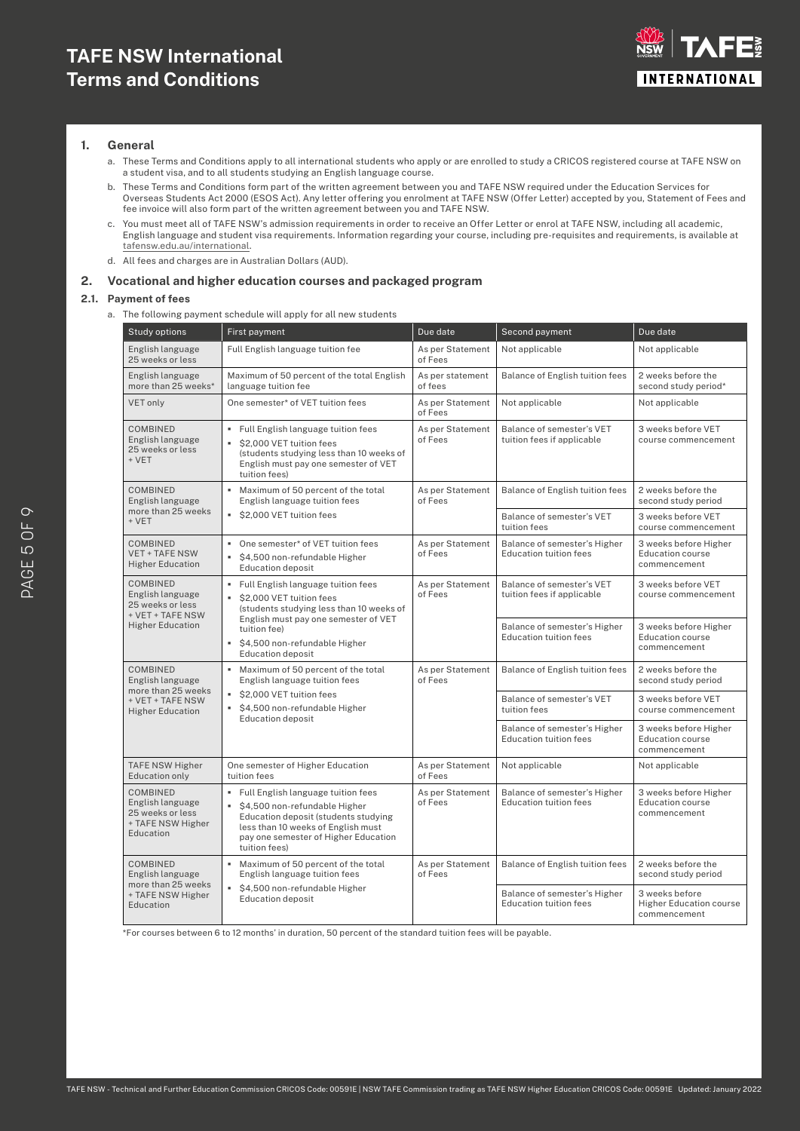# **TAFE NSW International Terms and Conditions**



# **1. General**

- a. These Terms and Conditions apply to all international students who apply or are enrolled to study a CRICOS registered course at TAFE NSW on a student visa, and to all students studying an English language course.
- b. These Terms and Conditions form part of the written agreement between you and TAFE NSW required under the Education Services for Overseas Students Act 2000 (ESOS Act). Any letter offering you enrolment at TAFE NSW (Offer Letter) accepted by you, Statement of Fees and fee invoice will also form part of the written agreement between you and TAFE NSW.
- c. You must meet all of TAFE NSW's admission requirements in order to receive an Offer Letter or enrol at TAFE NSW, including all academic, English language and student visa requirements. Information regarding your course, including pre-requisites and requirements, is available at [tafensw.edu.au/international.](http://tafensw.edu.au/international)
- d. All fees and charges are in Australian Dollars (AUD).

### **2. Vocational and higher education courses and packaged program**

# **2.1. Payment of fees**

a. The following payment schedule will apply for all new students

| <b>Study options</b>                                                                      | First payment                                                                                                                                                                                                                  | Due date                    | Second payment                                                | Due date                                                         |
|-------------------------------------------------------------------------------------------|--------------------------------------------------------------------------------------------------------------------------------------------------------------------------------------------------------------------------------|-----------------------------|---------------------------------------------------------------|------------------------------------------------------------------|
| English language<br>25 weeks or less                                                      | Full English language tuition fee                                                                                                                                                                                              | As per Statement<br>of Fees | Not applicable                                                | Not applicable                                                   |
| English language<br>more than 25 weeks*                                                   | Maximum of 50 percent of the total English<br>language tuition fee                                                                                                                                                             | As per statement<br>of fees | Balance of English tuition fees                               | 2 weeks before the<br>second study period*                       |
| <b>VET only</b>                                                                           | One semester* of VET tuition fees                                                                                                                                                                                              | As per Statement<br>of Fees | Not applicable                                                | Not applicable                                                   |
| <b>COMBINED</b><br>English language<br>25 weeks or less<br>+ VET                          | " Full English language tuition fees<br>\$2,000 VET tuition fees<br>(students studying less than 10 weeks of<br>English must pay one semester of VET<br>tuition fees)                                                          | As per Statement<br>of Fees | Balance of semester's VET<br>tuition fees if applicable       | 3 weeks before VET<br>course commencement                        |
| COMBINED<br>English language                                                              | ×.<br>Maximum of 50 percent of the total<br>English language tuition fees                                                                                                                                                      | As per Statement<br>of Fees | Balance of English tuition fees                               | 2 weeks before the<br>second study period                        |
| more than 25 weeks<br>+ VET                                                               | S2,000 VET tuition fees                                                                                                                                                                                                        |                             | Balance of semester's VET<br>tuition fees                     | 3 weeks before VET<br>course commencement                        |
| <b>COMBINED</b><br><b>VET + TAFE NSW</b><br><b>Higher Education</b>                       | • One semester* of VET tuition fees<br>S4,500 non-refundable Higher<br><b>Education deposit</b>                                                                                                                                | As per Statement<br>of Fees | Balance of semester's Higher<br><b>Education tuition fees</b> | 3 weeks before Higher<br><b>Education course</b><br>commencement |
| <b>COMBINED</b><br>English language<br>25 weeks or less<br>+ VET + TAFE NSW               | " Full English language tuition fees<br>\$2,000 VET tuition fees<br>٠<br>(students studying less than 10 weeks of<br>English must pay one semester of VET                                                                      | As per Statement<br>of Fees | Balance of semester's VET<br>tuition fees if applicable       | 3 weeks before VET<br>course commencement                        |
| <b>Higher Education</b>                                                                   | tuition fee)<br>\$4,500 non-refundable Higher<br>٠<br><b>Education deposit</b>                                                                                                                                                 |                             | Balance of semester's Higher<br><b>Education tuition fees</b> | 3 weeks before Higher<br><b>Education course</b><br>commencement |
| COMBINED<br>English language                                                              | ×.<br>Maximum of 50 percent of the total<br>English language tuition fees                                                                                                                                                      | As per Statement<br>of Fees | Balance of English tuition fees                               | 2 weeks before the<br>second study period                        |
| more than 25 weeks<br>+ VET + TAFE NSW<br><b>Higher Education</b>                         | S2,000 VET tuition fees<br>S4,500 non-refundable Higher<br><b>Education deposit</b>                                                                                                                                            |                             | Balance of semester's VET<br>tuition fees                     | 3 weeks before VET<br>course commencement                        |
|                                                                                           |                                                                                                                                                                                                                                |                             | Balance of semester's Higher<br><b>Education tuition fees</b> | 3 weeks before Higher<br><b>Education course</b><br>commencement |
| <b>TAFE NSW Higher</b><br><b>Education only</b>                                           | One semester of Higher Education<br>tuition fees                                                                                                                                                                               | As per Statement<br>of Fees | Not applicable                                                | Not applicable                                                   |
| <b>COMBINED</b><br>English language<br>25 weeks or less<br>+ TAFE NSW Higher<br>Education | " Full English language tuition fees<br>$\blacksquare$<br>\$4,500 non-refundable Higher<br>Education deposit (students studying<br>less than 10 weeks of English must<br>pay one semester of Higher Education<br>tuition fees) | As per Statement<br>of Fees | Balance of semester's Higher<br><b>Education tuition fees</b> | 3 weeks before Higher<br>Education course<br>commencement        |
| <b>COMBINED</b><br>English language                                                       | ×.<br>Maximum of 50 percent of the total<br>English language tuition fees                                                                                                                                                      | As per Statement<br>of Fees | Balance of English tuition fees                               | 2 weeks before the<br>second study period                        |
| more than 25 weeks<br>+ TAFE NSW Higher<br>Education                                      | \$4,500 non-refundable Higher<br><b>Education deposit</b>                                                                                                                                                                      |                             | Balance of semester's Higher<br><b>Education tuition fees</b> | 3 weeks before<br><b>Higher Education course</b><br>commencement |

\*For courses between 6 to 12 months' in duration, 50 percent of the standard tuition fees will be payable.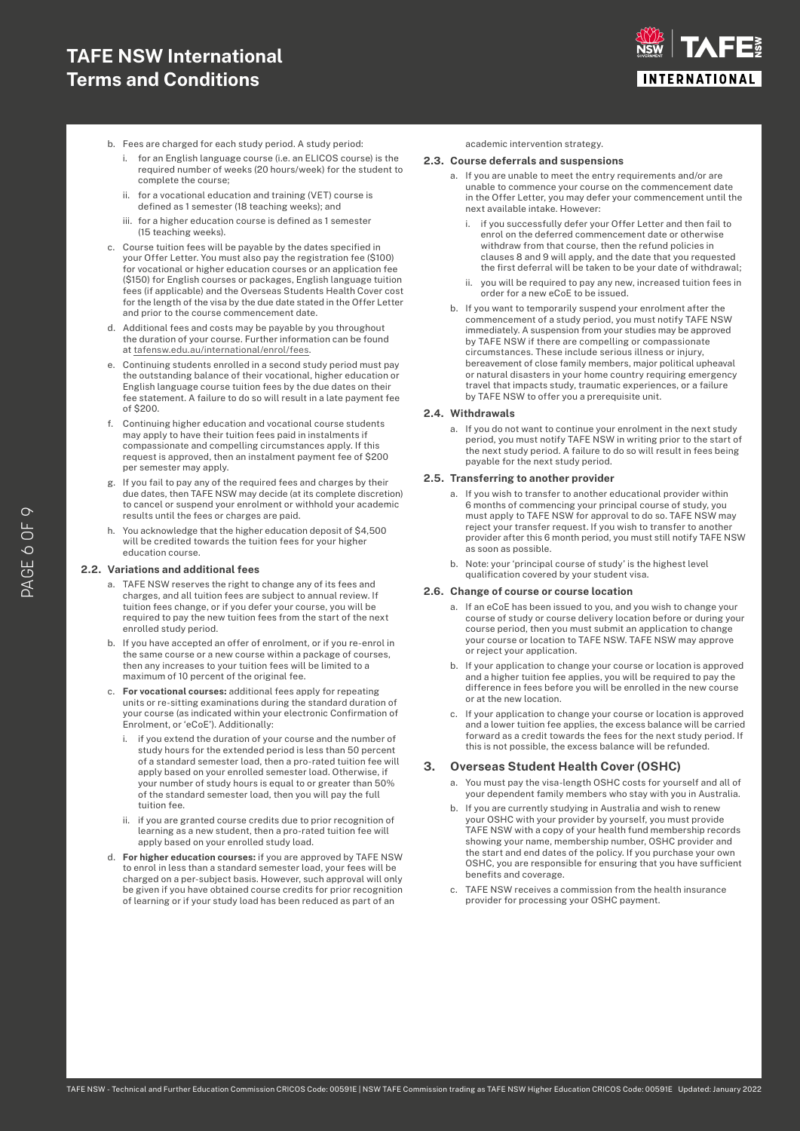# **TAFE NSW International Terms and Conditions**



- b. Fees are charged for each study period. A study period:
	- for an English language course (i.e. an ELICOS course) is the required number of weeks (20 hours/week) for the student to complete the course;
	- ii. for a vocational education and training (VET) course is defined as 1 semester (18 teaching weeks); and
	- iii. for a higher education course is defined as 1 semester (15 teaching weeks).
- c. Course tuition fees will be payable by the dates specified in your Offer Letter. You must also pay the registration fee (\$100) for vocational or higher education courses or an application fee (\$150) for English courses or packages, English language tuition fees (if applicable) and the Overseas Students Health Cover cost for the length of the visa by the due date stated in the Offer Letter and prior to the course commencement date.
- d. Additional fees and costs may be payable by you throughout the duration of your course. Further information can be found at [tafensw.edu.au/international/enrol/fees](http://tafensw.edu.au/international/enrol/fees).
- e. Continuing students enrolled in a second study period must pay the outstanding balance of their vocational, higher education or English language course tuition fees by the due dates on their fee statement. A failure to do so will result in a late payment fee  $of $200$
- f. Continuing higher education and vocational course students may apply to have their tuition fees paid in instalments if compassionate and compelling circumstances apply. If this request is approved, then an instalment payment fee of \$200 per semester may apply.
- g. If you fail to pay any of the required fees and charges by their due dates, then TAFE NSW may decide (at its complete discretion) to cancel or suspend your enrolment or withhold your academic results until the fees or charges are paid.
- h. You acknowledge that the higher education deposit of \$4,500 will be credited towards the tuition fees for your higher education course.

#### **2.2. Variations and additional fees**

- a. TAFE NSW reserves the right to change any of its fees and charges, and all tuition fees are subject to annual review. If tuition fees change, or if you defer your course, you will be required to pay the new tuition fees from the start of the next enrolled study period.
- b. If you have accepted an offer of enrolment, or if you re-enrol in the same course or a new course within a package of courses, then any increases to your tuition fees will be limited to a maximum of 10 percent of the original fee.
- c. **For vocational courses:** additional fees apply for repeating units or re-sitting examinations during the standard duration of your course (as indicated within your electronic Confirmation of Enrolment, or 'eCoE'). Additionally:
	- if you extend the duration of your course and the number of study hours for the extended period is less than 50 percent of a standard semester load, then a pro-rated tuition fee will apply based on your enrolled semester load. Otherwise, if your number of study hours is equal to or greater than 50% of the standard semester load, then you will pay the full tuition fee.
	- ii. if you are granted course credits due to prior recognition of learning as a new student, then a pro-rated tuition fee will apply based on your enrolled study load.
- d. **For higher education courses:** if you are approved by TAFE NSW to enrol in less than a standard semester load, your fees will be charged on a per-subject basis. However, such approval will only be given if you have obtained course credits for prior recognition of learning or if your study load has been reduced as part of an

academic intervention strategy.

#### **2.3. Course deferrals and suspensions**

- a. If you are unable to meet the entry requirements and/or are unable to commence your course on the commencement date in the Offer Letter, you may defer your commencement until the next available intake. However:
	- i. if you successfully defer your Offer Letter and then fail to enrol on the deferred commencement date or otherwise withdraw from that course, then the refund policies in clauses 8 and 9 will apply, and the date that you requested the first deferral will be taken to be your date of withdrawal;
	- you will be required to pay any new, increased tuition fees in order for a new eCoE to be issued.
- b. If you want to temporarily suspend your enrolment after the commencement of a study period, you must notify TAFE NSW immediately. A suspension from your studies may be approved by TAFE NSW if there are compelling or compassionate circumstances. These include serious illness or injury, bereavement of close family members, major political upheaval or natural disasters in your home country requiring emergency travel that impacts study, traumatic experiences, or a failure by TAFE NSW to offer you a prerequisite unit.

#### **2.4. Withdrawals**

a. If you do not want to continue your enrolment in the next study period, you must notify TAFE NSW in writing prior to the start of the next study period. A failure to do so will result in fees being payable for the next study period.

#### **2.5. Transferring to another provider**

- a. If you wish to transfer to another educational provider within 6 months of commencing your principal course of study, you must apply to TAFE NSW for approval to do so. TAFE NSW may reject your transfer request. If you wish to transfer to another provider after this 6 month period, you must still notify TAFE NSW as soon as possible.
- b. Note: your 'principal course of study' is the highest level qualification covered by your student visa.

#### **2.6. Change of course or course location**

- a. If an eCoE has been issued to you, and you wish to change your course of study or course delivery location before or during your course period, then you must submit an application to change your course or location to TAFE NSW. TAFE NSW may approve or reject your application.
- b. If your application to change your course or location is approved and a higher tuition fee applies, you will be required to pay the difference in fees before you will be enrolled in the new course or at the new location.
- c. If your application to change your course or location is approved and a lower tuition fee applies, the excess balance will be carried forward as a credit towards the fees for the next study period. If this is not possible, the excess balance will be refunded.

# **3. Overseas Student Health Cover (OSHC)**

- a. You must pay the visa-length OSHC costs for yourself and all of your dependent family members who stay with you in Australia.
- b. If you are currently studying in Australia and wish to renew your OSHC with your provider by yourself, you must provide TAFE NSW with a copy of your health fund membership records showing your name, membership number, OSHC provider and the start and end dates of the policy. If you purchase your own OSHC, you are responsible for ensuring that you have sufficient benefits and coverage.
- c. TAFE NSW receives a commission from the health insurance provider for processing your OSHC payment.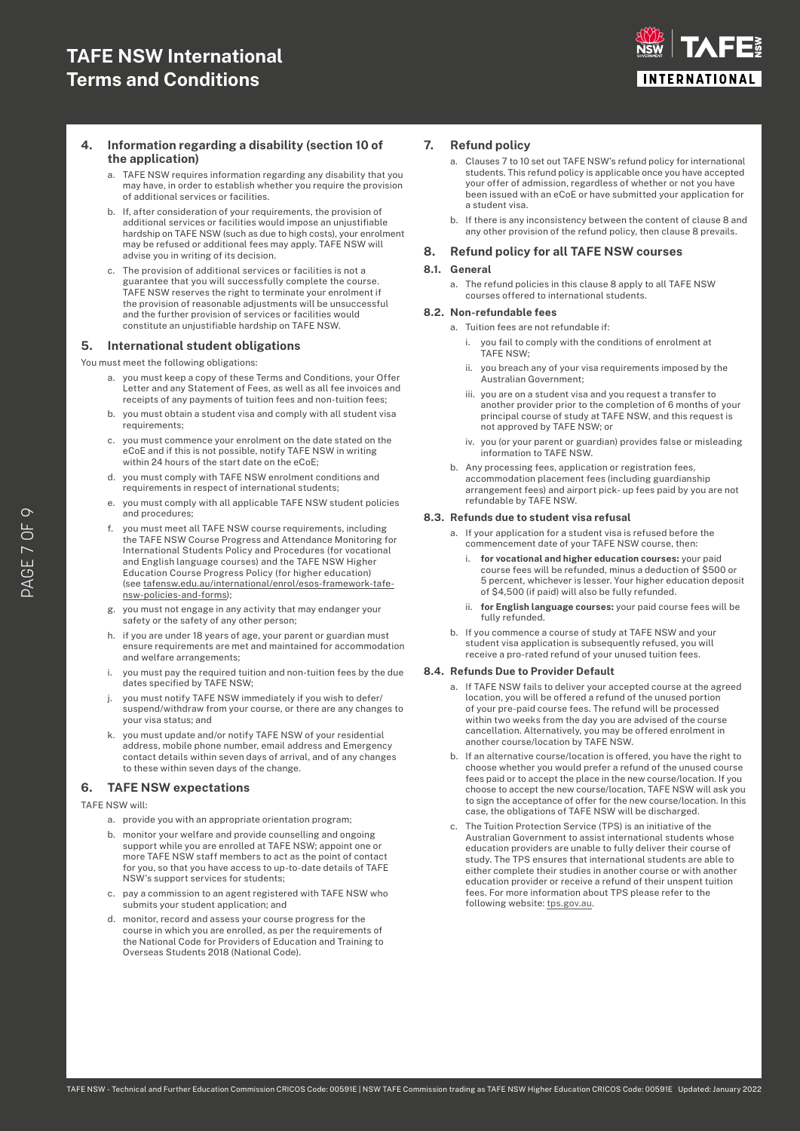

# **4. Information regarding a disability (section 10 of the application)**

- a. TAFE NSW requires information regarding any disability that you may have, in order to establish whether you require the provision of additional services or facilities.
- b. If, after consideration of your requirements, the provision of additional services or facilities would impose an unjustifiable hardship on TAFE NSW (such as due to high costs), your enrolment may be refused or additional fees may apply. TAFE NSW will advise you in writing of its decision.
- c. The provision of additional services or facilities is not a guarantee that you will successfully complete the course. TAFE NSW reserves the right to terminate your enrolment if the provision of reasonable adjustments will be unsuccessful and the further provision of services or facilities would constitute an unjustifiable hardship on TAFE NSW.

# **5. International student obligations**

You must meet the following obligations:

- a. you must keep a copy of these Terms and Conditions, your Offer Letter and any Statement of Fees, as well as all fee invoices and receipts of any payments of tuition fees and non-tuition fees;
- b. you must obtain a student visa and comply with all student visa requirements;
- c. you must commence your enrolment on the date stated on the eCoE and if this is not possible, notify TAFE NSW in writing within 24 hours of the start date on the eCoE;
- d. you must comply with TAFE NSW enrolment conditions and requirements in respect of international students;
- you must comply with all applicable TAFE NSW student policies and procedures;
- f. you must meet all TAFE NSW course requirements, including the TAFE NSW Course Progress and Attendance Monitoring for International Students Policy and Procedures (for vocational and English language courses) and the TAFE NSW Higher Education Course Progress Policy (for higher education) (see [tafensw.edu.au/international/enrol/esos-framework-tafe](http://tafensw.edu.au/international/enrol/esos-framework-tafe-nsw-policies-and-forms)[nsw-policies-and-forms\)](http://tafensw.edu.au/international/enrol/esos-framework-tafe-nsw-policies-and-forms);
- g. you must not engage in any activity that may endanger your safety or the safety of any other person;
- h. if you are under 18 years of age, your parent or guardian must ensure requirements are met and maintained for accommodation and welfare arrangements;
- i. you must pay the required tuition and non-tuition fees by the due dates specified by TAFE NSW;
- you must notify TAFE NSW immediately if you wish to defer/ suspend/withdraw from your course, or there are any changes to your visa status; and
- you must update and/or notify TAFE NSW of your residential address, mobile phone number, email address and Emergency contact details within seven days of arrival, and of any changes to these within seven days of the change.

### **6. TAFE NSW expectations**

#### TAFE NSW will:

- a. provide you with an appropriate orientation program;
- b. monitor your welfare and provide counselling and ongoing support while you are enrolled at TAFE NSW; appoint one or more TAFE NSW staff members to act as the point of contact for you, so that you have access to up-to-date details of TAFE NSW's support services for students;
- c. pay a commission to an agent registered with TAFE NSW who submits your student application; and
- d. monitor, record and assess your course progress for the course in which you are enrolled, as per the requirements of the National Code for Providers of Education and Training to Overseas Students 2018 (National Code).

# **7. Refund policy**

- a. Clauses 7 to 10 set out TAFE NSW's refund policy for international students. This refund policy is applicable once you have accepted your offer of admission, regardless of whether or not you have been issued with an eCoE or have submitted your application for a student visa.
- b. If there is any inconsistency between the content of clause 8 and any other provision of the refund policy, then clause 8 prevails.

# **8. Refund policy for all TAFE NSW courses**

#### **8.1. General**

a. The refund policies in this clause 8 apply to all TAFE NSW courses offered to international students.

#### **8.2. Non-refundable fees**

- a. Tuition fees are not refundable if:
	- i. you fail to comply with the conditions of enrolment at .<br>TAFF NSW:
	- you breach any of your visa requirements imposed by the Australian Government;
	- iii. you are on a student visa and you request a transfer to another provider prior to the completion of 6 months of your principal course of study at TAFE NSW, and this request is not approved by TAFE NSW; or
	- iv. you (or your parent or guardian) provides false or misleading information to TAFE NSW.
- b. Any processing fees, application or registration fees, accommodation placement fees (including guardianship arrangement fees) and airport pick- up fees paid by you are not refundable by TAFE NSW.

#### **8.3. Refunds due to student visa refusal**

- a. If your application for a student visa is refused before the commencement date of your TAFE NSW course, then:
	- i. **for vocational and higher education courses:** your paid course fees will be refunded, minus a deduction of \$500 or 5 percent, whichever is lesser. Your higher education deposit of \$4,500 (if paid) will also be fully refunded.
	- ii. **for English language courses:** your paid course fees will be fully refunded.
- b. If you commence a course of study at TAFE NSW and your student visa application is subsequently refused, you will receive a pro-rated refund of your unused tuition fees.

## **8.4. Refunds Due to Provider Default**

- a. If TAFE NSW fails to deliver your accepted course at the agreed location, you will be offered a refund of the unused portion of your pre-paid course fees. The refund will be processed within two weeks from the day you are advised of the course cancellation. Alternatively, you may be offered enrolment in another course/location by TAFE NSW.
- b. If an alternative course/location is offered, you have the right to choose whether you would prefer a refund of the unused course fees paid or to accept the place in the new course/location. If you choose to accept the new course/location, TAFE NSW will ask you to sign the acceptance of offer for the new course/location. In this case, the obligations of TAFE NSW will be discharged.
- c. The Tuition Protection Service (TPS) is an initiative of the Australian Government to assist international students whose education providers are unable to fully deliver their course of study. The TPS ensures that international students are able to either complete their studies in another course or with another education provider or receive a refund of their unspent tuition fees. For more information about TPS please refer to the following website: [tps.gov.au.](http://tps.gov.au)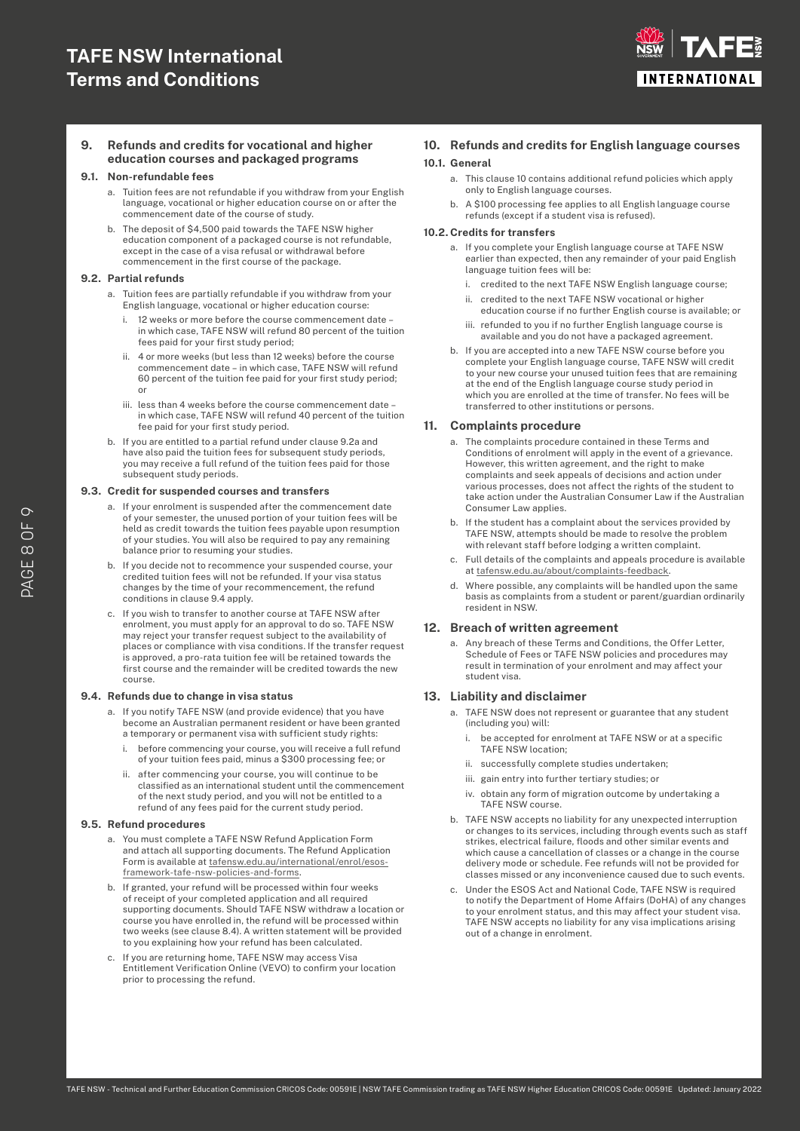

### **9. Refunds and credits for vocational and higher education courses and packaged programs**

#### **9.1. Non-refundable fees**

- a. Tuition fees are not refundable if you withdraw from your English language, vocational or higher education course on or after the commencement date of the course of study.
- b. The deposit of \$4,500 paid towards the TAFE NSW higher education component of a packaged course is not refundable, except in the case of a visa refusal or withdrawal before commencement in the first course of the package.

#### **9.2. Partial refunds**

- a. Tuition fees are partially refundable if you withdraw from your English language, vocational or higher education course:
	- i. 12 weeks or more before the course commencement date in which case, TAFE NSW will refund 80 percent of the tuition fees paid for your first study period;
	- ii. 4 or more weeks (but less than 12 weeks) before the course commencement date – in which case, TAFE NSW will refund 60 percent of the tuition fee paid for your first study period; or
	- iii. less than 4 weeks before the course commencement date in which case, TAFE NSW will refund 40 percent of the tuition fee paid for your first study period.
- b. If you are entitled to a partial refund under clause 9.2a and have also paid the tuition fees for subsequent study periods, you may receive a full refund of the tuition fees paid for those subsequent study periods.

#### **9.3. Credit for suspended courses and transfers**

- a. If your enrolment is suspended after the commencement date of your semester, the unused portion of your tuition fees will be held as credit towards the tuition fees payable upon resumption of your studies. You will also be required to pay any remaining balance prior to resuming your studies.
- b. If you decide not to recommence your suspended course, your credited tuition fees will not be refunded. If your visa status changes by the time of your recommencement, the refund conditions in clause 9.4 apply.
- c. If you wish to transfer to another course at TAFE NSW after enrolment, you must apply for an approval to do so. TAFE NSW may reject your transfer request subject to the availability of places or compliance with visa conditions. If the transfer request is approved, a pro-rata tuition fee will be retained towards the first course and the remainder will be credited towards the new course.

#### **9.4. Refunds due to change in visa status**

- a. If you notify TAFE NSW (and provide evidence) that you have become an Australian permanent resident or have been granted a temporary or permanent visa with sufficient study rights:
	- i. before commencing your course, you will receive a full refund of your tuition fees paid, minus a \$300 processing fee; or
	- ii. after commencing your course, you will continue to be classified as an international student until the commencement of the next study period, and you will not be entitled to a refund of any fees paid for the current study period.

#### **9.5. Refund procedures**

- a. You must complete a TAFE NSW Refund Application Form and attach all supporting documents. The Refund Application Form is available at [tafensw.edu.au/international/enrol/esos](http://tafensw.edu.au/international/enrol/esos-framework-tafe-nsw-policies-and-forms)[framework-tafe-nsw-policies-and-forms.](http://tafensw.edu.au/international/enrol/esos-framework-tafe-nsw-policies-and-forms)
- b. If granted, your refund will be processed within four weeks of receipt of your completed application and all required supporting documents. Should TAFE NSW withdraw a location or course you have enrolled in, the refund will be processed within two weeks (see clause 8.4). A written statement will be provided to you explaining how your refund has been calculated.
- c. If you are returning home, TAFE NSW may access Visa Entitlement Verification Online (VEVO) to confirm your location prior to processing the refund.

## **10. Refunds and credits for English language courses 10.1. General**

- a. This clause 10 contains additional refund policies which apply only to English language courses.
- b. A \$100 processing fee applies to all English language course refunds (except if a student visa is refused).

#### **10.2. Credits for transfers**

- a. If you complete your English language course at TAFE NSW earlier than expected, then any remainder of your paid English language tuition fees will be:
	- i. credited to the next TAFE NSW English language course;
	- ii. credited to the next TAFE NSW vocational or higher education course if no further English course is available; or
	- iii. refunded to you if no further English language course is available and you do not have a packaged agreement.
- b. If you are accepted into a new TAFE NSW course before you complete your English language course, TAFE NSW will credit to your new course your unused tuition fees that are remaining at the end of the English language course study period in which you are enrolled at the time of transfer. No fees will be transferred to other institutions or persons.

#### **11. Complaints procedure**

- a. The complaints procedure contained in these Terms and Conditions of enrolment will apply in the event of a grievance. However, this written agreement, and the right to make complaints and seek appeals of decisions and action under various processes, does not affect the rights of the student to take action under the Australian Consumer Law if the Australian Consumer Law applies.
- b. If the student has a complaint about the services provided by TAFE NSW, attempts should be made to resolve the problem with relevant staff before lodging a written complaint.
- c. Full details of the complaints and appeals procedure is available at [tafensw.edu.au/about/complaints-feedback.](http://tafensw.edu.au/about/complaints-feedback)
- d. Where possible, any complaints will be handled upon the same basis as complaints from a student or parent/guardian ordinarily resident in NSW.

#### **12. Breach of written agreement**

a. Any breach of these Terms and Conditions, the Offer Letter, Schedule of Fees or TAFE NSW policies and procedures may result in termination of your enrolment and may affect your student visa.

#### **13. Liability and disclaimer**

- a. TAFE NSW does not represent or guarantee that any student (including you) will:
	- i. be accepted for enrolment at TAFE NSW or at a specific TAFE NSW location;
	- ii. successfully complete studies undertaken;
	- iii. gain entry into further tertiary studies; or
	- iv. obtain any form of migration outcome by undertaking a TAFE NSW course.
- b. TAFE NSW accepts no liability for any unexpected interruption or changes to its services, including through events such as staff strikes, electrical failure, floods and other similar events and which cause a cancellation of classes or a change in the course delivery mode or schedule. Fee refunds will not be provided for classes missed or any inconvenience caused due to such events.
- c. Under the ESOS Act and National Code, TAFE NSW is required to notify the Department of Home Affairs (DoHA) of any changes to your enrolment status, and this may affect your student visa. TAFE NSW accepts no liability for any visa implications arising out of a change in enrolment.